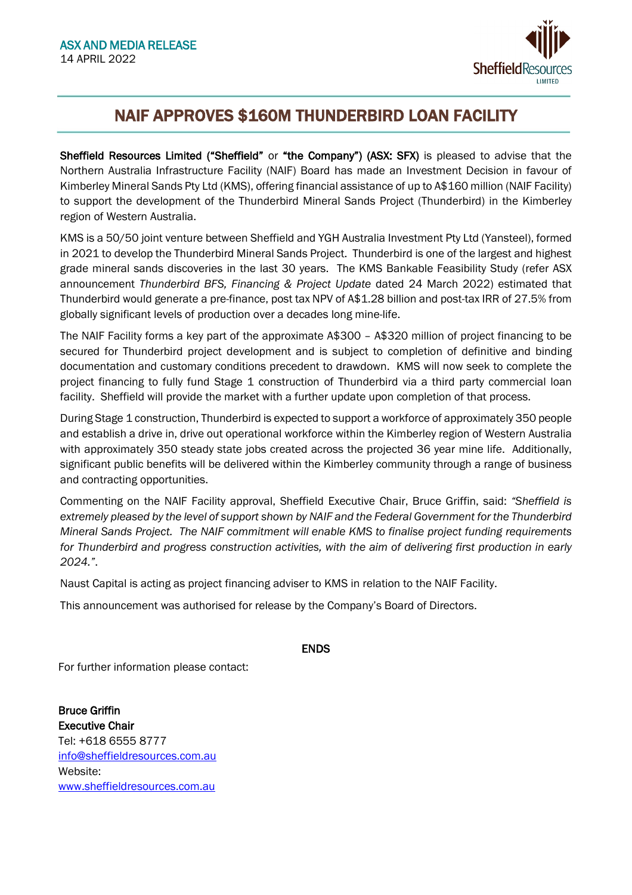

# NAIF APPROVES \$160M THUNDERBIRD LOAN FACILITY

Sheffield Resources Limited ("Sheffield" or "the Company") (ASX: SFX) is pleased to advise that the Northern Australia Infrastructure Facility (NAIF) Board has made an Investment Decision in favour of Kimberley Mineral Sands Pty Ltd (KMS), offering financial assistance of up to A\$160 million (NAIF Facility) to support the development of the Thunderbird Mineral Sands Project (Thunderbird) in the Kimberley region of Western Australia.

KMS is a 50/50 joint venture between Sheffield and YGH Australia Investment Pty Ltd (Yansteel), formed in 2021 to develop the Thunderbird Mineral Sands Project. Thunderbird is one of the largest and highest grade mineral sands discoveries in the last 30 years. The KMS Bankable Feasibility Study (refer ASX announcement *Thunderbird BFS, Financing & Project Update* dated 24 March 2022) estimated that Thunderbird would generate a pre-finance, post tax NPV of A\$1.28 billion and post-tax IRR of 27.5% from globally significant levels of production over a decades long mine-life.

The NAIF Facility forms a key part of the approximate A\$300 – A\$320 million of project financing to be secured for Thunderbird project development and is subject to completion of definitive and binding documentation and customary conditions precedent to drawdown. KMS will now seek to complete the project financing to fully fund Stage 1 construction of Thunderbird via a third party commercial loan facility. Sheffield will provide the market with a further update upon completion of that process.

During Stage 1 construction, Thunderbird is expected to support a workforce of approximately 350 people and establish a drive in, drive out operational workforce within the Kimberley region of Western Australia with approximately 350 steady state jobs created across the projected 36 year mine life. Additionally, significant public benefits will be delivered within the Kimberley community through a range of business and contracting opportunities.

Commenting on the NAIF Facility approval, Sheffield Executive Chair, Bruce Griffin, said: *"Sheffield is extremely pleased by the level of support shown by NAIF and the Federal Government for the Thunderbird Mineral Sands Project. The NAIF commitment will enable KMS to finalise project funding requirements for Thunderbird and progress construction activities, with the aim of delivering first production in early 2024."*.

Naust Capital is acting as project financing adviser to KMS in relation to the NAIF Facility.

This announcement was authorised for release by the Company's Board of Directors.

## ENDS

For further information please contact:

Bruce Griffin Executive Chair Tel: +618 6555 8777 [info@sheffieldresources.com.au](mailto:info@sheffieldresources.com.au) Website: [www.sheffieldresources.com.au](http://www.sheffieldresources.com.au/)